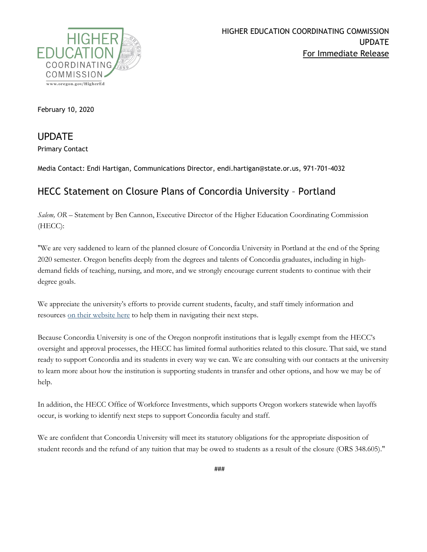

February 10, 2020

UPDATE

Primary Contact

Media Contact: Endi Hartigan, Communications Director, endi.hartigan@state.or.us, 971-701-4032

## HECC Statement on Closure Plans of Concordia University – Portland

*Salem, OR –* Statement by Ben Cannon, Executive Director of the Higher Education Coordinating Commission (HECC):

"We are very saddened to learn of the planned closure of Concordia University in Portland at the end of the Spring 2020 semester. Oregon benefits deeply from the degrees and talents of Concordia graduates, including in highdemand fields of teaching, nursing, and more, and we strongly encourage current students to continue with their degree goals.

We appreciate the university's efforts to provide current students, faculty, and staff timely information and resources [on their website here](https://www.cu-portland.edu/closure) to help them in navigating their next steps.

Because Concordia University is one of the Oregon nonprofit institutions that is legally exempt from the HECC's oversight and approval processes, the HECC has limited formal authorities related to this closure. That said, we stand ready to support Concordia and its students in every way we can. We are consulting with our contacts at the university to learn more about how the institution is supporting students in transfer and other options, and how we may be of help.

In addition, the HECC Office of Workforce Investments, which supports Oregon workers statewide when layoffs occur, is working to identify next steps to support Concordia faculty and staff.

We are confident that Concordia University will meet its statutory obligations for the appropriate disposition of student records and the refund of any tuition that may be owed to students as a result of the closure (ORS 348.605)."